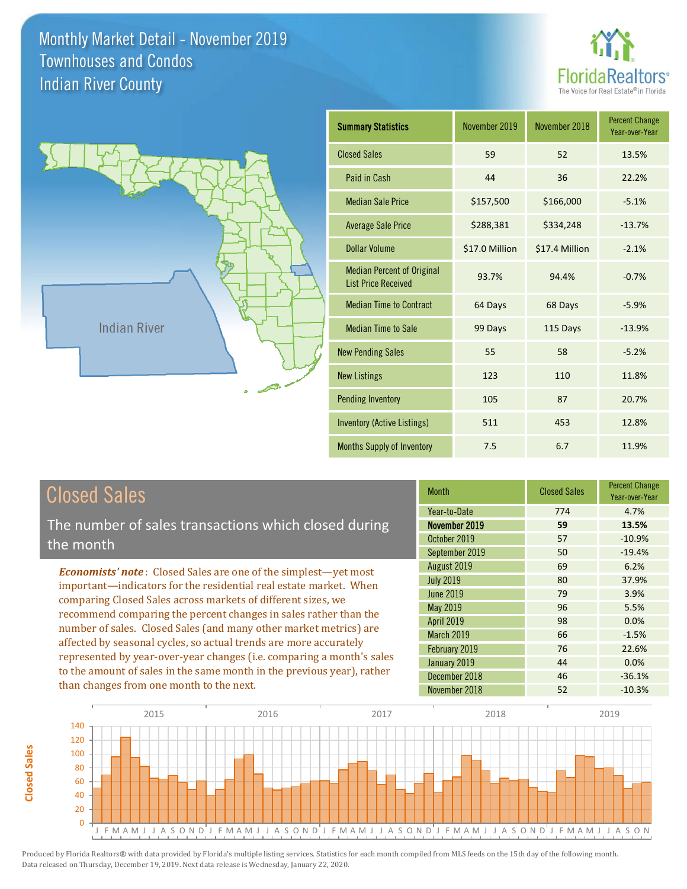



| <b>Summary Statistics</b>                                       | November 2019  | November 2018  | <b>Percent Change</b><br>Year-over-Year |
|-----------------------------------------------------------------|----------------|----------------|-----------------------------------------|
| <b>Closed Sales</b>                                             | 59             | 52             | 13.5%                                   |
| Paid in Cash                                                    | 44             | 36             | 22.2%                                   |
| <b>Median Sale Price</b>                                        | \$157,500      | \$166,000      | $-5.1%$                                 |
| <b>Average Sale Price</b>                                       | \$288,381      | \$334,248      | $-13.7%$                                |
| <b>Dollar Volume</b>                                            | \$17.0 Million | \$17.4 Million | $-2.1%$                                 |
| <b>Median Percent of Original</b><br><b>List Price Received</b> | 93.7%          | 94.4%          | $-0.7%$                                 |
| <b>Median Time to Contract</b>                                  | 64 Days        | 68 Days        | $-5.9%$                                 |
| <b>Median Time to Sale</b>                                      | 99 Days        | 115 Days       | $-13.9%$                                |
| <b>New Pending Sales</b>                                        | 55             | 58             | $-5.2%$                                 |
| <b>New Listings</b>                                             | 123            | 110            | 11.8%                                   |
| <b>Pending Inventory</b>                                        | 105            | 87             | 20.7%                                   |
| Inventory (Active Listings)                                     | 511            | 453            | 12.8%                                   |
| <b>Months Supply of Inventory</b>                               | 7.5            | 6.7            | 11.9%                                   |

# Closed Sales

**Closed Sales**

**Closed Sales** 

The number of sales transactions which closed during the month

*Economists' note* : Closed Sales are one of the simplest—yet most important—indicators for the residential real estate market. When comparing Closed Sales across markets of different sizes, we recommend comparing the percent changes in sales rather than the number of sales. Closed Sales (and many other market metrics) are affected by seasonal cycles, so actual trends are more accurately represented by year-over-year changes (i.e. comparing a month's sales to the amount of sales in the same month in the previous year), rather than changes from one month to the next.

| <b>Month</b>      | <b>Closed Sales</b> | <b>Percent Change</b><br>Year-over-Year |
|-------------------|---------------------|-----------------------------------------|
| Year-to-Date      | 774                 | 4.7%                                    |
| November 2019     | 59                  | 13.5%                                   |
| October 2019      | 57                  | $-10.9%$                                |
| September 2019    | 50                  | $-19.4%$                                |
| August 2019       | 69                  | 6.2%                                    |
| <b>July 2019</b>  | 80                  | 37.9%                                   |
| <b>June 2019</b>  | 79                  | 3.9%                                    |
| May 2019          | 96                  | 5.5%                                    |
| April 2019        | 98                  | 0.0%                                    |
| <b>March 2019</b> | 66                  | $-1.5%$                                 |
| February 2019     | 76                  | 22.6%                                   |
| January 2019      | 44                  | 0.0%                                    |
| December 2018     | 46                  | $-36.1%$                                |
| November 2018     | 52                  | $-10.3%$                                |

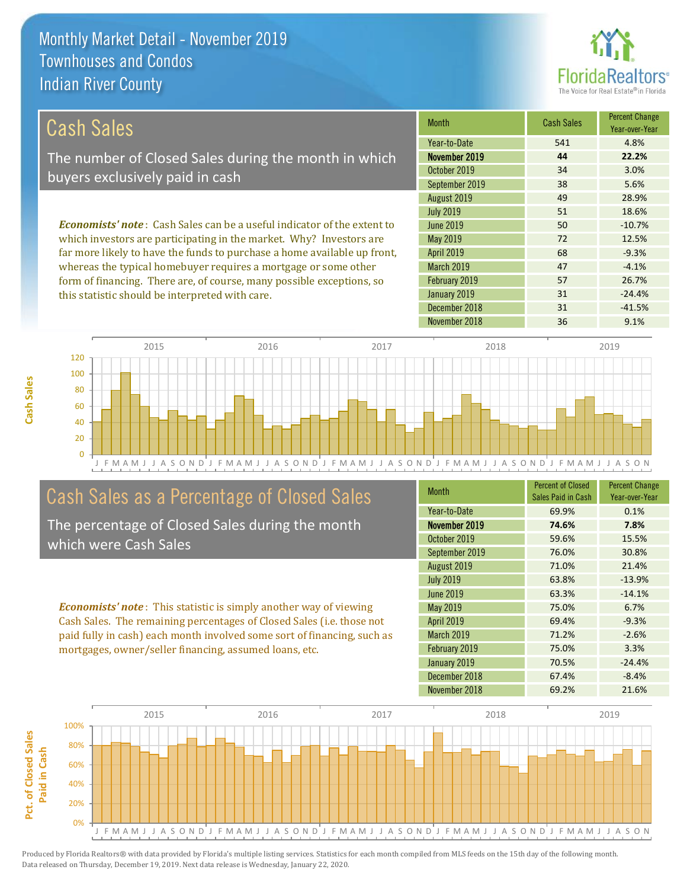

| Cash Sales                                                                     | <b>Month</b>                                                     | <b>Cash Sales</b> | <b>Percent Change</b><br>Year-over-Year |
|--------------------------------------------------------------------------------|------------------------------------------------------------------|-------------------|-----------------------------------------|
|                                                                                | Year-to-Date                                                     | 541               | 4.8%                                    |
| The number of Closed Sales during the month in which                           | November 2019                                                    | 44                | 22.2%                                   |
| buyers exclusively paid in cash                                                | October 2019                                                     | 34                | 3.0%                                    |
|                                                                                | September 2019                                                   | 38                | 5.6%                                    |
|                                                                                | August 2019                                                      | 49                | 28.9%                                   |
|                                                                                | <b>July 2019</b>                                                 | 51                | 18.6%                                   |
| <b>Economists' note:</b> Cash Sales can be a useful indicator of the extent to | June 2019                                                        | 50                | $-10.7%$                                |
| which investors are participating in the market. Why? Investors are            | May 2019                                                         | 72                | 12.5%                                   |
| far more likely to have the funds to purchase a home available up front,       | <b>April 2019</b>                                                | 68                | $-9.3%$                                 |
| whereas the typical homebuyer requires a mortgage or some other                | March 2019                                                       | 47                | $-4.1%$                                 |
|                                                                                | $\begin{array}{c} \n\bullet \bullet \bullet \bullet \end{array}$ |                   |                                         |

form of financing. There are, of course, many possible exceptions, so this statistic should be interpreted with care.

| <b>IVIONUI</b>    | Gash Sales | Year-over-Year |
|-------------------|------------|----------------|
| Year-to-Date      | 541        | 4.8%           |
| November 2019     | 44         | 22.2%          |
| October 2019      | 34         | 3.0%           |
| September 2019    | 38         | 5.6%           |
| August 2019       | 49         | 28.9%          |
| <b>July 2019</b>  | 51         | 18.6%          |
| <b>June 2019</b>  | 50         | $-10.7%$       |
| May 2019          | 72         | 12.5%          |
| <b>April 2019</b> | 68         | $-9.3%$        |
| <b>March 2019</b> | 47         | $-4.1%$        |
| February 2019     | 57         | 26.7%          |
| January 2019      | 31         | $-24.4%$       |
| December 2018     | 31         | $-41.5%$       |
| November 2018     | 36         | 9.1%           |



## Cash Sales as a Percentage of Closed Sales

The percentage of Closed Sales during the month which were Cash Sales

*Economists' note* : This statistic is simply another way of viewing Cash Sales. The remaining percentages of Closed Sales (i.e. those not paid fully in cash) each month involved some sort of financing, such as mortgages, owner/seller financing, assumed loans, etc.

| Month             | <b>Percent of Closed</b><br>Sales Paid in Cash | <b>Percent Change</b><br>Year-over-Year |
|-------------------|------------------------------------------------|-----------------------------------------|
| Year-to-Date      | 69.9%                                          | 0.1%                                    |
| November 2019     | 74.6%                                          | 7.8%                                    |
| October 2019      | 59.6%                                          | 15.5%                                   |
| September 2019    | 76.0%                                          | 30.8%                                   |
| August 2019       | 71.0%                                          | 21.4%                                   |
| <b>July 2019</b>  | 63.8%                                          | $-13.9%$                                |
| June 2019         | 63.3%                                          | $-14.1%$                                |
| May 2019          | 75.0%                                          | 6.7%                                    |
| <b>April 2019</b> | 69.4%                                          | $-9.3%$                                 |
| <b>March 2019</b> | 71.2%                                          | $-2.6%$                                 |
| February 2019     | 75.0%                                          | 3.3%                                    |
| January 2019      | 70.5%                                          | $-24.4%$                                |
| December 2018     | 67.4%                                          | $-8.4%$                                 |
| November 2018     | 69.2%                                          | 21.6%                                   |

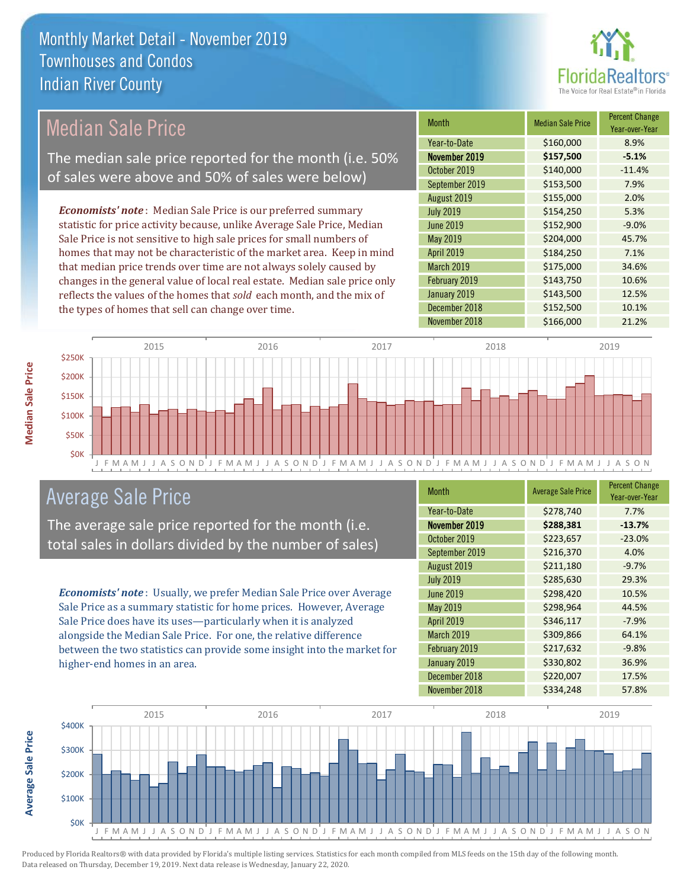

## Median Sale Price

The median sale price reported for the month (i.e. 50% of sales were above and 50% of sales were below)

*Economists' note* : Median Sale Price is our preferred summary statistic for price activity because, unlike Average Sale Price, Median Sale Price is not sensitive to high sale prices for small numbers of homes that may not be characteristic of the market area. Keep in mind that median price trends over time are not always solely caused by changes in the general value of local real estate. Median sale price only reflects the values of the homes that *sold* each month, and the mix of the types of homes that sell can change over time.

| <b>Month</b>     | <b>Median Sale Price</b> | <b>Percent Change</b><br>Year-over-Year |
|------------------|--------------------------|-----------------------------------------|
| Year-to-Date     | \$160,000                | 8.9%                                    |
| November 2019    | \$157,500                | $-5.1%$                                 |
| October 2019     | \$140,000                | $-11.4%$                                |
| September 2019   | \$153,500                | 7.9%                                    |
| August 2019      | \$155,000                | 2.0%                                    |
| <b>July 2019</b> | \$154,250                | 5.3%                                    |
| <b>June 2019</b> | \$152,900                | $-9.0%$                                 |
| May 2019         | \$204,000                | 45.7%                                   |
| April 2019       | \$184,250                | 7.1%                                    |
| March 2019       | \$175,000                | 34.6%                                   |
| February 2019    | \$143,750                | 10.6%                                   |
| January 2019     | \$143,500                | 12.5%                                   |
| December 2018    | \$152,500                | 10.1%                                   |
| November 2018    | \$166,000                | 21.2%                                   |



#### Average Sale Price

The average sale price reported for the month (i.e. total sales in dollars divided by the number of sales)

*Economists' note* : Usually, we prefer Median Sale Price over Average Sale Price as a summary statistic for home prices. However, Average Sale Price does have its uses—particularly when it is analyzed alongside the Median Sale Price. For one, the relative difference between the two statistics can provide some insight into the market for higher-end homes in an area.

| <b>Month</b>      | <b>Average Sale Price</b> | <b>Percent Change</b><br>Year-over-Year |
|-------------------|---------------------------|-----------------------------------------|
| Year-to-Date      | \$278,740                 | 7.7%                                    |
| November 2019     | \$288,381                 | $-13.7%$                                |
| October 2019      | \$223,657                 | $-23.0%$                                |
| September 2019    | \$216,370                 | 4.0%                                    |
| August 2019       | \$211,180                 | $-9.7%$                                 |
| <b>July 2019</b>  | \$285,630                 | 29.3%                                   |
| <b>June 2019</b>  | \$298,420                 | 10.5%                                   |
| May 2019          | \$298,964                 | 44.5%                                   |
| April 2019        | \$346,117                 | $-7.9%$                                 |
| <b>March 2019</b> | \$309,866                 | 64.1%                                   |
| February 2019     | \$217,632                 | $-9.8%$                                 |
| January 2019      | \$330,802                 | 36.9%                                   |
| December 2018     | \$220,007                 | 17.5%                                   |
| November 2018     | \$334,248                 | 57.8%                                   |



**Average Sale Price**

Average Sale Price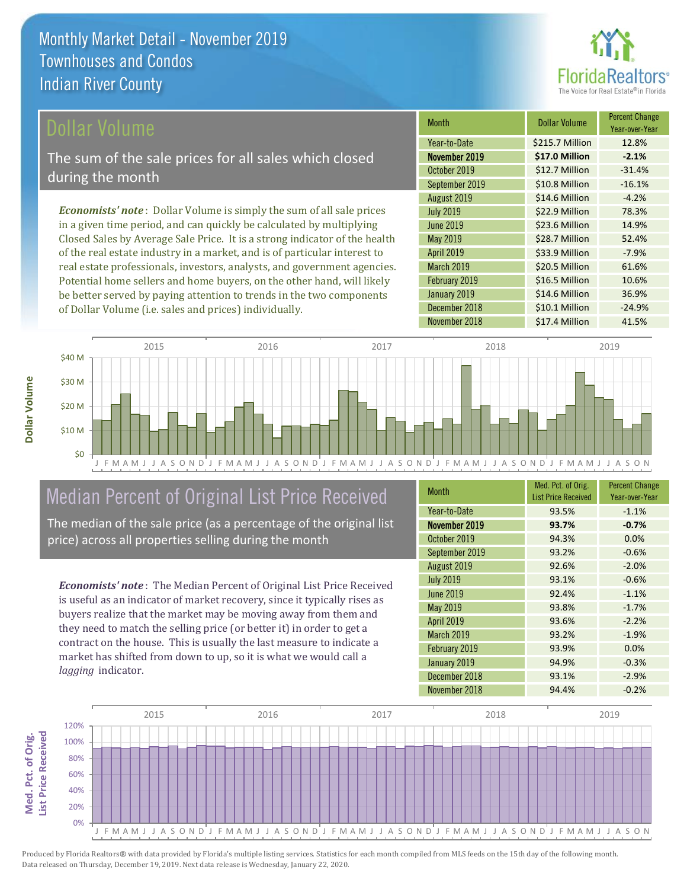

#### ollar Volume

The sum of the sale prices for all sales which closed during the month

*Economists' note* : Dollar Volume is simply the sum of all sale prices in a given time period, and can quickly be calculated by multiplying Closed Sales by Average Sale Price. It is a strong indicator of the health of the real estate industry in a market, and is of particular interest to real estate professionals, investors, analysts, and government agencies. Potential home sellers and home buyers, on the other hand, will likely be better served by paying attention to trends in the two components of Dollar Volume (i.e. sales and prices) individually.

| <b>Month</b>      | Dollar Volume   | <b>Percent Change</b><br>Year-over-Year |
|-------------------|-----------------|-----------------------------------------|
| Year-to-Date      | \$215.7 Million | 12.8%                                   |
| November 2019     | \$17.0 Million  | $-2.1%$                                 |
| October 2019      | \$12.7 Million  | $-31.4%$                                |
| September 2019    | \$10.8 Million  | $-16.1%$                                |
| August 2019       | \$14.6 Million  | $-4.2%$                                 |
| <b>July 2019</b>  | \$22.9 Million  | 78.3%                                   |
| <b>June 2019</b>  | \$23.6 Million  | 14.9%                                   |
| May 2019          | \$28.7 Million  | 52.4%                                   |
| <b>April 2019</b> | \$33.9 Million  | $-7.9%$                                 |
| March 2019        | \$20.5 Million  | 61.6%                                   |
| February 2019     | \$16.5 Million  | 10.6%                                   |
| January 2019      | \$14.6 Million  | 36.9%                                   |
| December 2018     | \$10.1 Million  | $-24.9%$                                |
| November 2018     | \$17.4 Million  | 41.5%                                   |



# Median Percent of Original List Price Received

The median of the sale price (as a percentage of the original list price) across all properties selling during the month

*Economists' note* : The Median Percent of Original List Price Received is useful as an indicator of market recovery, since it typically rises as buyers realize that the market may be moving away from them and they need to match the selling price (or better it) in order to get a contract on the house. This is usually the last measure to indicate a market has shifted from down to up, so it is what we would call a *lagging* indicator.

| <b>Month</b>      | Med. Pct. of Orig.<br><b>List Price Received</b> | <b>Percent Change</b><br>Year-over-Year |
|-------------------|--------------------------------------------------|-----------------------------------------|
| Year-to-Date      | 93.5%                                            | $-1.1%$                                 |
| November 2019     | 93.7%                                            | $-0.7%$                                 |
| October 2019      | 94.3%                                            | 0.0%                                    |
| September 2019    | 93.2%                                            | $-0.6%$                                 |
| August 2019       | 92.6%                                            | $-2.0%$                                 |
| <b>July 2019</b>  | 93.1%                                            | $-0.6%$                                 |
| <b>June 2019</b>  | 92.4%                                            | $-1.1%$                                 |
| May 2019          | 93.8%                                            | $-1.7%$                                 |
| April 2019        | 93.6%                                            | $-2.2%$                                 |
| <b>March 2019</b> | 93.2%                                            | $-1.9%$                                 |
| February 2019     | 93.9%                                            | 0.0%                                    |
| January 2019      | 94.9%                                            | $-0.3%$                                 |
| December 2018     | 93.1%                                            | $-2.9%$                                 |
| November 2018     | 94.4%                                            | $-0.2%$                                 |



Produced by Florida Realtors® with data provided by Florida's multiple listing services. Statistics for each month compiled from MLS feeds on the 15th day of the following month. Data released on Thursday, December 19, 2019. Next data release is Wednesday, January 22, 2020.

Med. Pct. of Orig.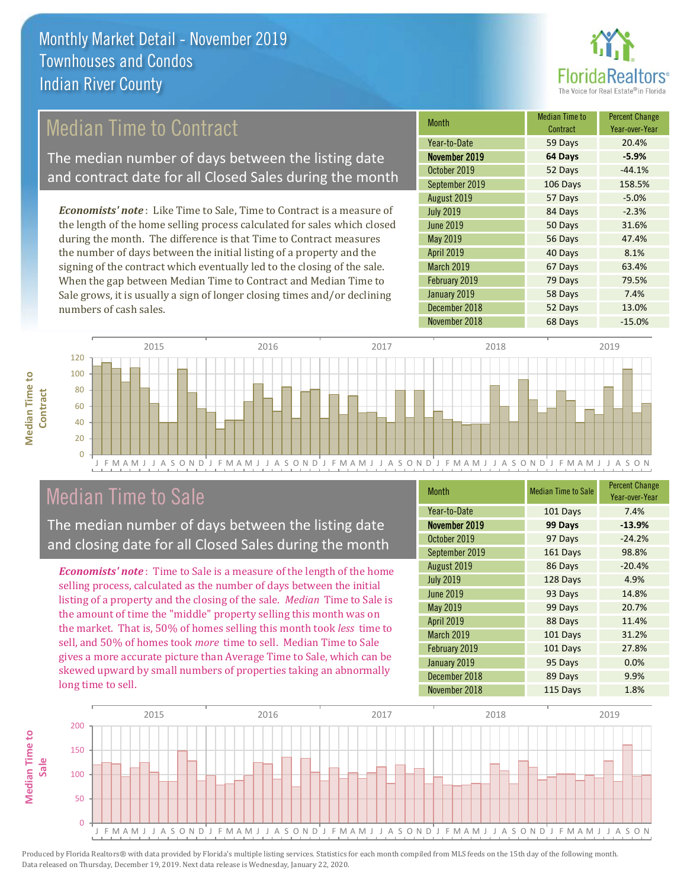

## Median Time to Contract

The median number of days between the listing date and contract date for all Closed Sales during the month

*Economists' note* : Like Time to Sale, Time to Contract is a measure of the length of the home selling process calculated for sales which closed during the month. The difference is that Time to Contract measures the number of days between the initial listing of a property and the signing of the contract which eventually led to the closing of the sale. When the gap between Median Time to Contract and Median Time to Sale grows, it is usually a sign of longer closing times and/or declining numbers of cash sales.

| Month            | <b>Median Time to</b><br>Contract | <b>Percent Change</b><br>Year-over-Year |
|------------------|-----------------------------------|-----------------------------------------|
| Year-to-Date     | 59 Days                           | 20.4%                                   |
| November 2019    | 64 Days                           | $-5.9%$                                 |
| October 2019     | 52 Days                           | $-44.1%$                                |
| September 2019   | 106 Days                          | 158.5%                                  |
| August 2019      | 57 Days                           | $-5.0%$                                 |
| <b>July 2019</b> | 84 Days                           | $-2.3%$                                 |
| <b>June 2019</b> | 50 Days                           | 31.6%                                   |
| May 2019         | 56 Days                           | 47.4%                                   |
| April 2019       | 40 Days                           | 8.1%                                    |
| March 2019       | 67 Days                           | 63.4%                                   |
| February 2019    | 79 Days                           | 79.5%                                   |
| January 2019     | 58 Days                           | 7.4%                                    |
| December 2018    | 52 Days                           | 13.0%                                   |
| November 2018    | 68 Days                           | $-15.0%$                                |



### Median Time to Sale

**Median Time to** 

**Median Time to** 

The median number of days between the listing date and closing date for all Closed Sales during the month

*Economists' note* : Time to Sale is a measure of the length of the home selling process, calculated as the number of days between the initial listing of a property and the closing of the sale. *Median* Time to Sale is the amount of time the "middle" property selling this month was on the market. That is, 50% of homes selling this month took *less* time to sell, and 50% of homes took *more* time to sell. Median Time to Sale gives a more accurate picture than Average Time to Sale, which can be skewed upward by small numbers of properties taking an abnormally long time to sell.

| <b>Month</b>      | <b>Median Time to Sale</b> | <b>Percent Change</b><br>Year-over-Year |
|-------------------|----------------------------|-----------------------------------------|
| Year-to-Date      | 101 Days                   | 7.4%                                    |
| November 2019     | 99 Days                    | $-13.9%$                                |
| October 2019      | 97 Days                    | $-24.2%$                                |
| September 2019    | 161 Days                   | 98.8%                                   |
| August 2019       | 86 Days                    | $-20.4%$                                |
| <b>July 2019</b>  | 128 Days                   | 4.9%                                    |
| <b>June 2019</b>  | 93 Days                    | 14.8%                                   |
| May 2019          | 99 Days                    | 20.7%                                   |
| <b>April 2019</b> | 88 Days                    | 11.4%                                   |
| March 2019        | 101 Days                   | 31.2%                                   |
| February 2019     | 101 Days                   | 27.8%                                   |
| January 2019      | 95 Days                    | 0.0%                                    |
| December 2018     | 89 Days                    | 9.9%                                    |
| November 2018     | 115 Days                   | 1.8%                                    |

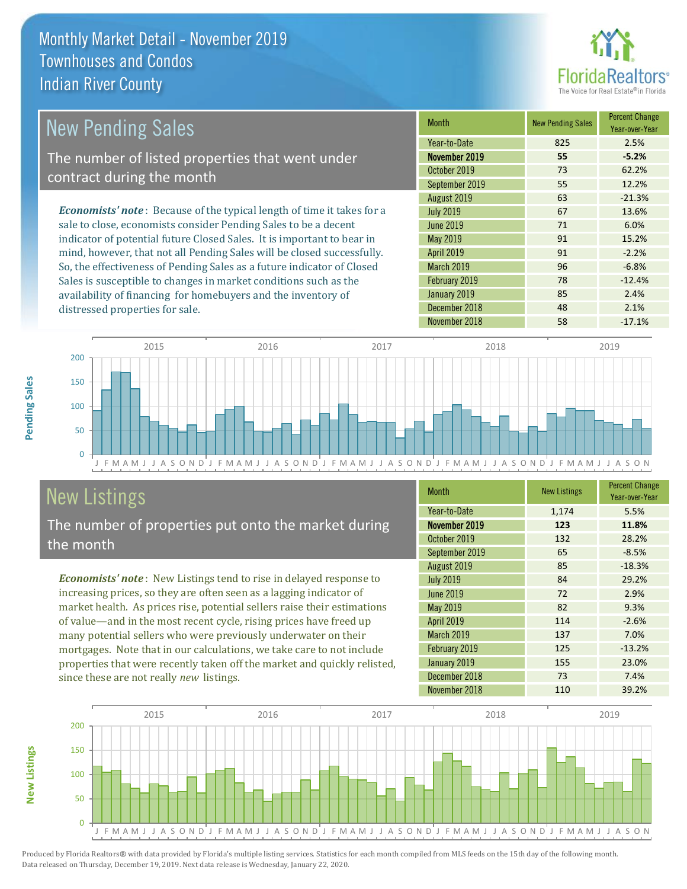

| <b>New Pending Sales</b>                                                      | <b>Month</b>      | <b>New Pending Sales</b> | <b>Percent Change</b><br>Year-over-Year |
|-------------------------------------------------------------------------------|-------------------|--------------------------|-----------------------------------------|
|                                                                               | Year-to-Date      | 825                      | 2.5%                                    |
| The number of listed properties that went under                               | November 2019     | 55                       | $-5.2%$                                 |
| contract during the month                                                     | October 2019      | 73                       | 62.2%                                   |
|                                                                               | September 2019    | 55                       | 12.2%                                   |
|                                                                               | August 2019       | 63                       | $-21.3%$                                |
| <b>Economists' note:</b> Because of the typical length of time it takes for a | <b>July 2019</b>  | 67                       | 13.6%                                   |
| sale to close, economists consider Pending Sales to be a decent               | June 2019         | 71                       | 6.0%                                    |
| indicator of potential future Closed Sales. It is important to bear in        | May 2019          | 91                       | 15.2%                                   |
| mind, however, that not all Pending Sales will be closed successfully.        | <b>April 2019</b> | 91                       | $-2.2%$                                 |
| So, the effectiveness of Pending Sales as a future indicator of Closed        | March 2019        | 96                       | $-6.8%$                                 |
| Sales is susceptible to changes in market conditions such as the              | February 2019     | 78                       | $-12.4%$                                |
| availability of financing for homebuyers and the inventory of                 | January 2019      | 85                       | 2.4%                                    |



# New Listings

distressed properties for sale.

The number of properties put onto the market during the month

*Economists' note* : New Listings tend to rise in delayed response to increasing prices, so they are often seen as a lagging indicator of market health. As prices rise, potential sellers raise their estimations of value—and in the most recent cycle, rising prices have freed up many potential sellers who were previously underwater on their mortgages. Note that in our calculations, we take care to not include properties that were recently taken off the market and quickly relisted, since these are not really *new* listings.

| <b>Month</b>      | <b>New Listings</b> | <b>Percent Change</b><br>Year-over-Year |
|-------------------|---------------------|-----------------------------------------|
| Year-to-Date      | 1,174               | 5.5%                                    |
| November 2019     | 123                 | 11.8%                                   |
| October 2019      | 132                 | 28.2%                                   |
| September 2019    | 65                  | $-8.5%$                                 |
| August 2019       | 85                  | $-18.3%$                                |
| <b>July 2019</b>  | 84                  | 29.2%                                   |
| <b>June 2019</b>  | 72                  | 2.9%                                    |
| May 2019          | 82                  | 9.3%                                    |
| April 2019        | 114                 | $-2.6%$                                 |
| <b>March 2019</b> | 137                 | 7.0%                                    |
| February 2019     | 125                 | $-13.2%$                                |
| January 2019      | 155                 | 23.0%                                   |
| December 2018     | 73                  | 7.4%                                    |
| November 2018     | 110                 | 39.2%                                   |

November 2018 **58** -17.1%

December 2018 18 48 2.1%



Produced by Florida Realtors® with data provided by Florida's multiple listing services. Statistics for each month compiled from MLS feeds on the 15th day of the following month. Data released on Thursday, December 19, 2019. Next data release is Wednesday, January 22, 2020.

**New Listings**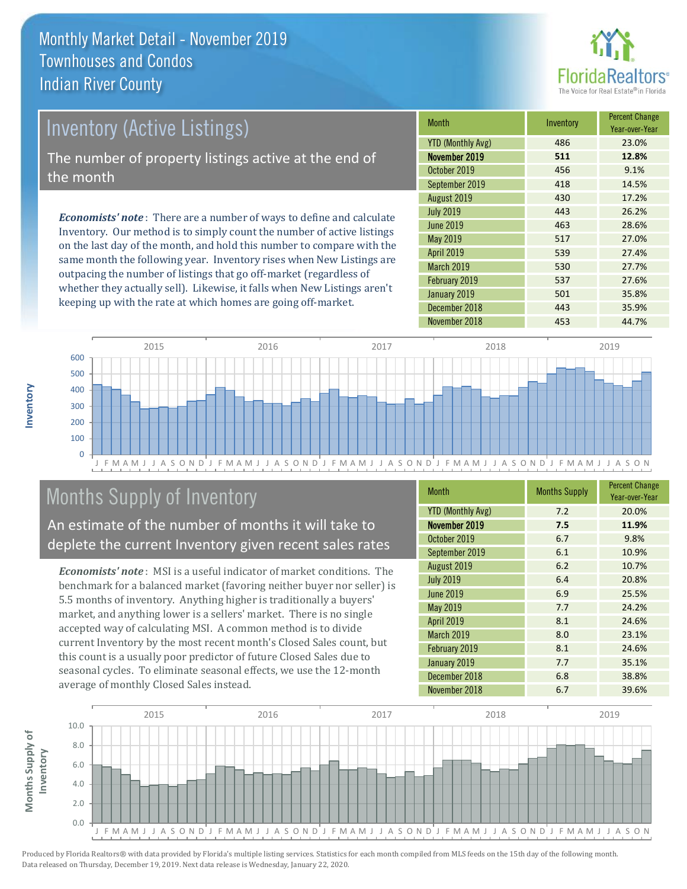

# *Economists' note* : There are a number of ways to define and calculate Inventory (Active Listings) The number of property listings active at the end of the month

Inventory. Our method is to simply count the number of active listings on the last day of the month, and hold this number to compare with the same month the following year. Inventory rises when New Listings are outpacing the number of listings that go off-market (regardless of whether they actually sell). Likewise, it falls when New Listings aren't keeping up with the rate at which homes are going off-market.

| <b>Month</b>             | Inventory | <b>Percent Change</b><br>Year-over-Year |
|--------------------------|-----------|-----------------------------------------|
| <b>YTD (Monthly Avg)</b> | 486       | 23.0%                                   |
| November 2019            | 511       | 12.8%                                   |
| October 2019             | 456       | 9.1%                                    |
| September 2019           | 418       | 14.5%                                   |
| August 2019              | 430       | 17.2%                                   |
| <b>July 2019</b>         | 443       | 26.2%                                   |
| <b>June 2019</b>         | 463       | 28.6%                                   |
| May 2019                 | 517       | 27.0%                                   |
| <b>April 2019</b>        | 539       | 27.4%                                   |
| <b>March 2019</b>        | 530       | 27.7%                                   |
| February 2019            | 537       | 27.6%                                   |
| January 2019             | 501       | 35.8%                                   |
| December 2018            | 443       | 35.9%                                   |
| November 2018            | 453       | 44.7%                                   |



# Months Supply of Inventory

An estimate of the number of months it will take to deplete the current Inventory given recent sales rates

*Economists' note* : MSI is a useful indicator of market conditions. The benchmark for a balanced market (favoring neither buyer nor seller) is 5.5 months of inventory. Anything higher is traditionally a buyers' market, and anything lower is a sellers' market. There is no single accepted way of calculating MSI. A common method is to divide current Inventory by the most recent month's Closed Sales count, but this count is a usually poor predictor of future Closed Sales due to seasonal cycles. To eliminate seasonal effects, we use the 12-month average of monthly Closed Sales instead.

| <b>Month</b>             | <b>Months Supply</b> | <b>Percent Change</b><br>Year-over-Year |
|--------------------------|----------------------|-----------------------------------------|
| <b>YTD (Monthly Avg)</b> | 7.2                  | 20.0%                                   |
| November 2019            | 7.5                  | 11.9%                                   |
| October 2019             | 6.7                  | 9.8%                                    |
| September 2019           | 6.1                  | 10.9%                                   |
| August 2019              | 6.2                  | 10.7%                                   |
| <b>July 2019</b>         | 6.4                  | 20.8%                                   |
| <b>June 2019</b>         | 6.9                  | 25.5%                                   |
| May 2019                 | 7.7                  | 24.2%                                   |
| <b>April 2019</b>        | 8.1                  | 24.6%                                   |
| March 2019               | 8.0                  | 23.1%                                   |
| February 2019            | 8.1                  | 24.6%                                   |
| January 2019             | 7.7                  | 35.1%                                   |
| December 2018            | 6.8                  | 38.8%                                   |
| November 2018            | 6.7                  | 39.6%                                   |

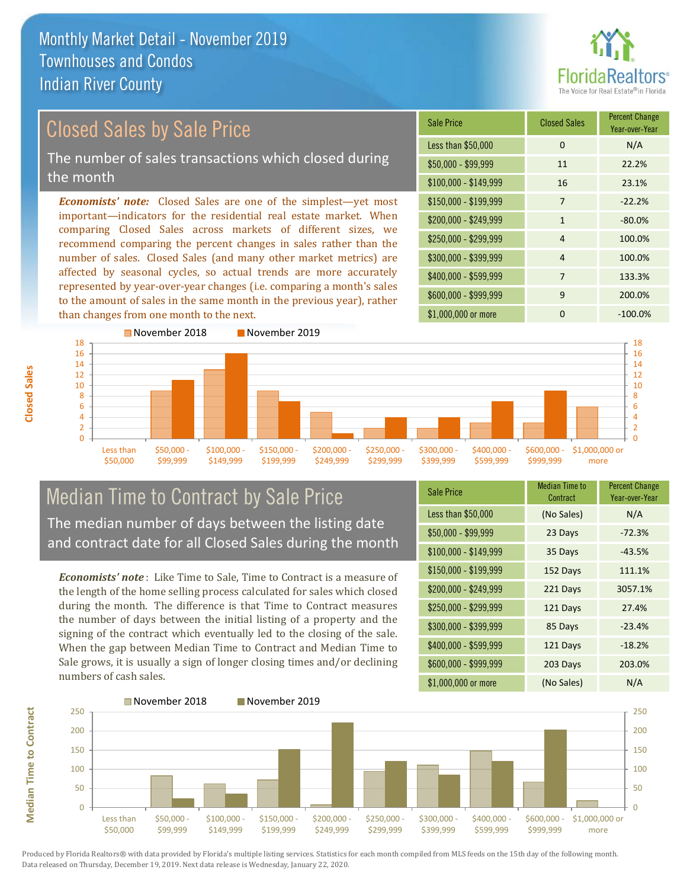

# Closed Sales by Sale Price

The number of sales transactions which closed during the month

*Economists' note:* Closed Sales are one of the simplest—yet most important—indicators for the residential real estate market. When comparing Closed Sales across markets of different sizes, we recommend comparing the percent changes in sales rather than the number of sales. Closed Sales (and many other market metrics) are affected by seasonal cycles, so actual trends are more accurately represented by year-over-year changes (i.e. comparing a month's sales to the amount of sales in the same month in the previous year), rather than changes from one month to the next.





#### Median Time to Contract by Sale Price The median number of days between the listing date and contract date for all Closed Sales during the month

*Economists' note* : Like Time to Sale, Time to Contract is a measure of the length of the home selling process calculated for sales which closed during the month. The difference is that Time to Contract measures the number of days between the initial listing of a property and the signing of the contract which eventually led to the closing of the sale. When the gap between Median Time to Contract and Median Time to Sale grows, it is usually a sign of longer closing times and/or declining numbers of cash sales.

| Sale Price            | <b>Median Time to</b><br>Contract | <b>Percent Change</b><br>Year-over-Year |
|-----------------------|-----------------------------------|-----------------------------------------|
| Less than \$50,000    | (No Sales)                        | N/A                                     |
| $$50,000 - $99,999$   | 23 Days                           | $-72.3%$                                |
| $$100,000 - $149,999$ | 35 Days                           | $-43.5%$                                |
| $$150,000 - $199,999$ | 152 Days                          | 111.1%                                  |
| \$200,000 - \$249,999 | 221 Days                          | 3057.1%                                 |
| \$250,000 - \$299,999 | 121 Days                          | 27.4%                                   |
| \$300,000 - \$399,999 | 85 Days                           | $-23.4%$                                |
| \$400,000 - \$599,999 | 121 Days                          | $-18.2%$                                |
| \$600,000 - \$999,999 | 203 Days                          | 203.0%                                  |
| \$1,000,000 or more   | (No Sales)                        | N/A                                     |



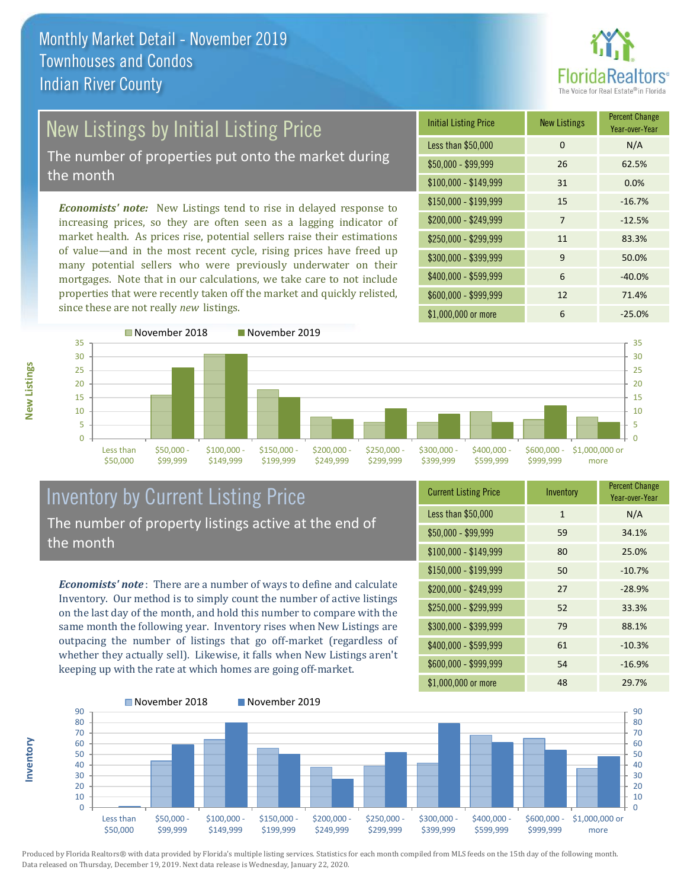

# New Listings by Initial Listing Price

The number of properties put onto the market during the month

*Economists' note:* New Listings tend to rise in delayed response to increasing prices, so they are often seen as a lagging indicator of market health. As prices rise, potential sellers raise their estimations of value—and in the most recent cycle, rising prices have freed up many potential sellers who were previously underwater on their mortgages. Note that in our calculations, we take care to not include properties that were recently taken off the market and quickly relisted, since these are not really *new* listings.

| <b>Initial Listing Price</b> | <b>New Listings</b> | <b>Percent Change</b><br>Year-over-Year |
|------------------------------|---------------------|-----------------------------------------|
| Less than \$50,000           | 0                   | N/A                                     |
| $$50,000 - $99,999$          | 26                  | 62.5%                                   |
| $$100,000 - $149,999$        | 31                  | 0.0%                                    |
| $$150,000 - $199,999$        | 15                  | $-16.7%$                                |
| \$200,000 - \$249,999        | 7                   | $-12.5%$                                |
| \$250,000 - \$299,999        | 11                  | 83.3%                                   |
| \$300,000 - \$399,999        | 9                   | 50.0%                                   |
| \$400,000 - \$599,999        | 6                   | $-40.0%$                                |
| \$600,000 - \$999,999        | 12                  | 71.4%                                   |
| \$1,000,000 or more          | 6                   | $-25.0%$                                |



#### Inventory by Current Listing Price The number of property listings active at the end of the month

*Economists' note* : There are a number of ways to define and calculate Inventory. Our method is to simply count the number of active listings on the last day of the month, and hold this number to compare with the same month the following year. Inventory rises when New Listings are outpacing the number of listings that go off-market (regardless of whether they actually sell). Likewise, it falls when New Listings aren't keeping up with the rate at which homes are going off-market.

| <b>Current Listing Price</b> | Inventory    | <b>Percent Change</b><br>Year-over-Year |
|------------------------------|--------------|-----------------------------------------|
| Less than \$50,000           | $\mathbf{1}$ | N/A                                     |
| $$50,000 - $99,999$          | 59           | 34.1%                                   |
| \$100,000 - \$149,999        | 80           | 25.0%                                   |
| $$150,000 - $199,999$        | 50           | $-10.7%$                                |
| \$200,000 - \$249,999        | 27           | $-28.9%$                                |
| \$250,000 - \$299,999        | 52           | 33.3%                                   |
| \$300,000 - \$399,999        | 79           | 88.1%                                   |
| \$400,000 - \$599,999        | 61           | $-10.3%$                                |
| \$600,000 - \$999,999        | 54           | $-16.9%$                                |
| \$1,000,000 or more          | 48           | 29.7%                                   |



Produced by Florida Realtors® with data provided by Florida's multiple listing services. Statistics for each month compiled from MLS feeds on the 15th day of the following month. Data released on Thursday, December 19, 2019. Next data release is Wednesday, January 22, 2020.

**Inventory**